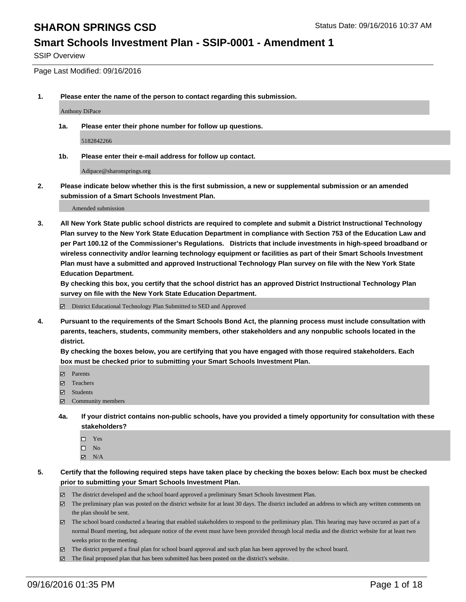#### **Smart Schools Investment Plan - SSIP-0001 - Amendment 1**

SSIP Overview

Page Last Modified: 09/16/2016

**1. Please enter the name of the person to contact regarding this submission.**

Anthony DiPace

**1a. Please enter their phone number for follow up questions.**

5182842266

**1b. Please enter their e-mail address for follow up contact.**

Adipace@sharonsprings.org

**2. Please indicate below whether this is the first submission, a new or supplemental submission or an amended submission of a Smart Schools Investment Plan.**

Amended submission

**3. All New York State public school districts are required to complete and submit a District Instructional Technology Plan survey to the New York State Education Department in compliance with Section 753 of the Education Law and per Part 100.12 of the Commissioner's Regulations. Districts that include investments in high-speed broadband or wireless connectivity and/or learning technology equipment or facilities as part of their Smart Schools Investment Plan must have a submitted and approved Instructional Technology Plan survey on file with the New York State Education Department.** 

**By checking this box, you certify that the school district has an approved District Instructional Technology Plan survey on file with the New York State Education Department.**

District Educational Technology Plan Submitted to SED and Approved

**4. Pursuant to the requirements of the Smart Schools Bond Act, the planning process must include consultation with parents, teachers, students, community members, other stakeholders and any nonpublic schools located in the district.** 

**By checking the boxes below, you are certifying that you have engaged with those required stakeholders. Each box must be checked prior to submitting your Smart Schools Investment Plan.**

- Parents
- Teachers
- $\boxtimes$  Students
- Community members
- **4a. If your district contains non-public schools, have you provided a timely opportunity for consultation with these stakeholders?**
	- $\Box$  Yes  $\square$  No
	- $\boxtimes$  N/A
- **5. Certify that the following required steps have taken place by checking the boxes below: Each box must be checked prior to submitting your Smart Schools Investment Plan.**
	- The district developed and the school board approved a preliminary Smart Schools Investment Plan.
	- The preliminary plan was posted on the district website for at least 30 days. The district included an address to which any written comments on the plan should be sent.
	- $\boxtimes$  The school board conducted a hearing that enabled stakeholders to respond to the preliminary plan. This hearing may have occured as part of a normal Board meeting, but adequate notice of the event must have been provided through local media and the district website for at least two weeks prior to the meeting.
	- The district prepared a final plan for school board approval and such plan has been approved by the school board.
	- $\boxtimes$  The final proposed plan that has been submitted has been posted on the district's website.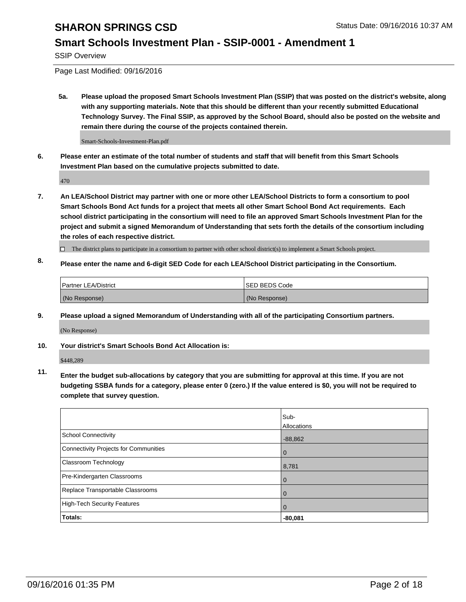#### **Smart Schools Investment Plan - SSIP-0001 - Amendment 1**

SSIP Overview

Page Last Modified: 09/16/2016

**5a. Please upload the proposed Smart Schools Investment Plan (SSIP) that was posted on the district's website, along with any supporting materials. Note that this should be different than your recently submitted Educational Technology Survey. The Final SSIP, as approved by the School Board, should also be posted on the website and remain there during the course of the projects contained therein.**

Smart-Schools-Investment-Plan.pdf

**6. Please enter an estimate of the total number of students and staff that will benefit from this Smart Schools Investment Plan based on the cumulative projects submitted to date.**

470

- **7. An LEA/School District may partner with one or more other LEA/School Districts to form a consortium to pool Smart Schools Bond Act funds for a project that meets all other Smart School Bond Act requirements. Each school district participating in the consortium will need to file an approved Smart Schools Investment Plan for the project and submit a signed Memorandum of Understanding that sets forth the details of the consortium including the roles of each respective district.**
	- $\Box$  The district plans to participate in a consortium to partner with other school district(s) to implement a Smart Schools project.
- **8. Please enter the name and 6-digit SED Code for each LEA/School District participating in the Consortium.**

| <b>Partner LEA/District</b> | ISED BEDS Code |
|-----------------------------|----------------|
| (No Response)               | (No Response)  |

**9. Please upload a signed Memorandum of Understanding with all of the participating Consortium partners.**

(No Response)

#### **10. Your district's Smart Schools Bond Act Allocation is:**

\$448,289

**11. Enter the budget sub-allocations by category that you are submitting for approval at this time. If you are not budgeting SSBA funds for a category, please enter 0 (zero.) If the value entered is \$0, you will not be required to complete that survey question.**

|                                       | Sub-<br>Allocations |
|---------------------------------------|---------------------|
| <b>School Connectivity</b>            | $-88,862$           |
| Connectivity Projects for Communities | $\Omega$            |
| <b>Classroom Technology</b>           | 8,781               |
| Pre-Kindergarten Classrooms           | $\Omega$            |
| Replace Transportable Classrooms      | 0                   |
| High-Tech Security Features           | $\Omega$            |
| <b>Totals:</b>                        | $-80,081$           |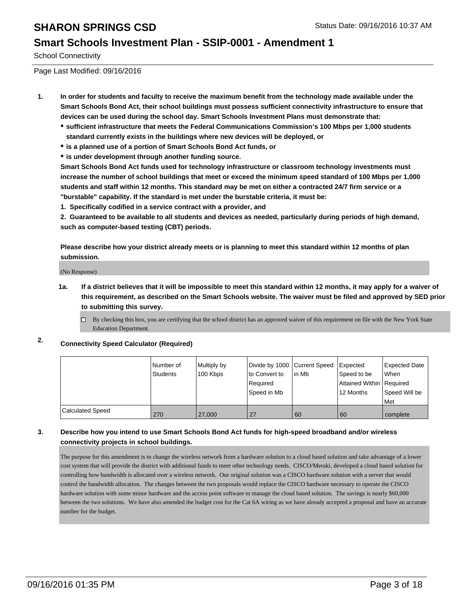#### **Smart Schools Investment Plan - SSIP-0001 - Amendment 1**

School Connectivity

Page Last Modified: 09/16/2016

- **1. In order for students and faculty to receive the maximum benefit from the technology made available under the Smart Schools Bond Act, their school buildings must possess sufficient connectivity infrastructure to ensure that devices can be used during the school day. Smart Schools Investment Plans must demonstrate that:**
	- **sufficient infrastructure that meets the Federal Communications Commission's 100 Mbps per 1,000 students standard currently exists in the buildings where new devices will be deployed, or**
	- **is a planned use of a portion of Smart Schools Bond Act funds, or**
	- **is under development through another funding source.**

**Smart Schools Bond Act funds used for technology infrastructure or classroom technology investments must increase the number of school buildings that meet or exceed the minimum speed standard of 100 Mbps per 1,000 students and staff within 12 months. This standard may be met on either a contracted 24/7 firm service or a "burstable" capability. If the standard is met under the burstable criteria, it must be:**

**1. Specifically codified in a service contract with a provider, and**

**2. Guaranteed to be available to all students and devices as needed, particularly during periods of high demand, such as computer-based testing (CBT) periods.**

**Please describe how your district already meets or is planning to meet this standard within 12 months of plan submission.**

(No Response)

- **1a. If a district believes that it will be impossible to meet this standard within 12 months, it may apply for a waiver of this requirement, as described on the Smart Schools website. The waiver must be filed and approved by SED prior to submitting this survey.**
	- $\Box$  By checking this box, you are certifying that the school district has an approved waiver of this requirement on file with the New York State Education Department.
- **2. Connectivity Speed Calculator (Required)**

|                         | Number of<br>Students | Multiply by<br>100 Kbps | Divide by 1000 Current Speed<br>to Convert to<br>Required<br>Speed in Mb | lin Mb | <b>Expected</b><br>Speed to be<br>Attained Within   Required<br>12 Months | Expected Date<br><b>When</b><br>Speed Will be<br>l Met |
|-------------------------|-----------------------|-------------------------|--------------------------------------------------------------------------|--------|---------------------------------------------------------------------------|--------------------------------------------------------|
| <b>Calculated Speed</b> | 270                   | 27,000                  | 27                                                                       | 60     | 60                                                                        | complete                                               |

#### **3. Describe how you intend to use Smart Schools Bond Act funds for high-speed broadband and/or wireless connectivity projects in school buildings.**

The purpose for this amendment is to change the wireless network from a hardware solution to a cloud based solution and take advantage of a lower cost system that will provide the district with additional funds to meet other technology needs. CISCO/Meraki, developed a cloud based solution for controlling how bandwidth is allocated over a wireless network. Our original solution was a CISCO hardware solution with a server that would control the bandwidth allocation. The changes between the two proposals would replace the CISCO hardware necessary to operate the CISCO hardware solution with some minor hardware and the access point software to manage the cloud based solution. The savings is nearly \$60,000 between the two solutions. We have also amended the budget cost for the Cat 6A wiring as we have already accepted a proposal and have an accurate number for the budget.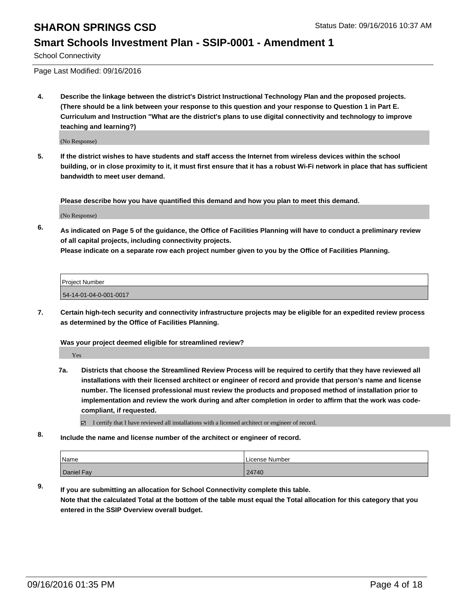#### **Smart Schools Investment Plan - SSIP-0001 - Amendment 1**

School Connectivity

Page Last Modified: 09/16/2016

**4. Describe the linkage between the district's District Instructional Technology Plan and the proposed projects. (There should be a link between your response to this question and your response to Question 1 in Part E. Curriculum and Instruction "What are the district's plans to use digital connectivity and technology to improve teaching and learning?)**

(No Response)

**5. If the district wishes to have students and staff access the Internet from wireless devices within the school building, or in close proximity to it, it must first ensure that it has a robust Wi-Fi network in place that has sufficient bandwidth to meet user demand.**

**Please describe how you have quantified this demand and how you plan to meet this demand.**

(No Response)

**6. As indicated on Page 5 of the guidance, the Office of Facilities Planning will have to conduct a preliminary review of all capital projects, including connectivity projects.**

**Please indicate on a separate row each project number given to you by the Office of Facilities Planning.**

| Proiect Number         |  |
|------------------------|--|
| 54-14-01-04-0-001-0017 |  |

**7. Certain high-tech security and connectivity infrastructure projects may be eligible for an expedited review process as determined by the Office of Facilities Planning.**

**Was your project deemed eligible for streamlined review?**

Yes

**7a. Districts that choose the Streamlined Review Process will be required to certify that they have reviewed all installations with their licensed architect or engineer of record and provide that person's name and license number. The licensed professional must review the products and proposed method of installation prior to implementation and review the work during and after completion in order to affirm that the work was codecompliant, if requested.**

I certify that I have reviewed all installations with a licensed architect or engineer of record.

**8. Include the name and license number of the architect or engineer of record.**

| Name       | License Number |
|------------|----------------|
| Daniel Fay | 24740          |

**9. If you are submitting an allocation for School Connectivity complete this table. Note that the calculated Total at the bottom of the table must equal the Total allocation for this category that you entered in the SSIP Overview overall budget.**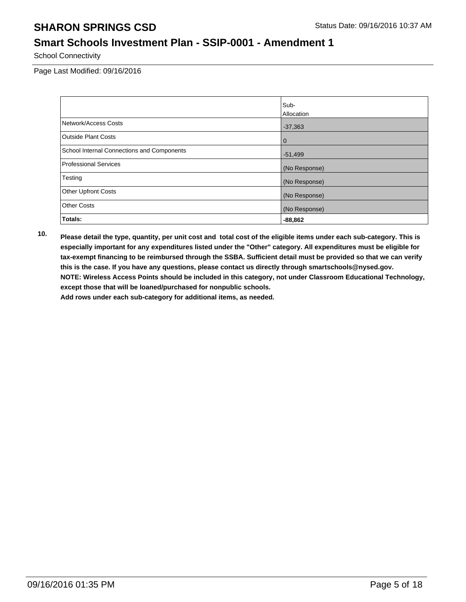### **Smart Schools Investment Plan - SSIP-0001 - Amendment 1**

School Connectivity

Page Last Modified: 09/16/2016

|                                            | Sub-          |
|--------------------------------------------|---------------|
|                                            | Allocation    |
| Network/Access Costs                       | $-37,363$     |
| <b>Outside Plant Costs</b>                 | $\mathbf 0$   |
| School Internal Connections and Components | $-51,499$     |
| <b>Professional Services</b>               | (No Response) |
| Testing                                    | (No Response) |
| <b>Other Upfront Costs</b>                 | (No Response) |
| <b>Other Costs</b>                         | (No Response) |
| Totals:                                    | $-88,862$     |

**10. Please detail the type, quantity, per unit cost and total cost of the eligible items under each sub-category. This is especially important for any expenditures listed under the "Other" category. All expenditures must be eligible for tax-exempt financing to be reimbursed through the SSBA. Sufficient detail must be provided so that we can verify this is the case. If you have any questions, please contact us directly through smartschools@nysed.gov. NOTE: Wireless Access Points should be included in this category, not under Classroom Educational Technology, except those that will be loaned/purchased for nonpublic schools.**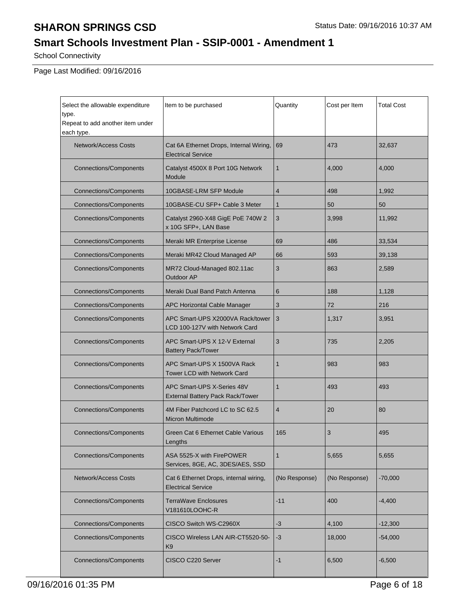### **Smart Schools Investment Plan - SSIP-0001 - Amendment 1**

School Connectivity

| Select the allowable expenditure<br>type.<br>Repeat to add another item under<br>each type. | Item to be purchased                                                                                                                                                                                                                                                                 | Quantity     | Cost per Item | <b>Total Cost</b> |
|---------------------------------------------------------------------------------------------|--------------------------------------------------------------------------------------------------------------------------------------------------------------------------------------------------------------------------------------------------------------------------------------|--------------|---------------|-------------------|
| <b>Network/Access Costs</b>                                                                 | Cat 6A Ethernet Drops, Internal Wiring,<br><b>Electrical Service</b>                                                                                                                                                                                                                 | 69           | 473           | 32,637            |
| <b>Connections/Components</b>                                                               | Catalyst 4500X 8 Port 10G Network<br>Module                                                                                                                                                                                                                                          | $\mathbf{1}$ | 4,000         | 4,000             |
| <b>Connections/Components</b>                                                               | 10GBASE-LRM SFP Module                                                                                                                                                                                                                                                               | 4            | 498           | 1,992             |
| <b>Connections/Components</b>                                                               | 10GBASE-CU SFP+ Cable 3 Meter                                                                                                                                                                                                                                                        | $\mathbf{1}$ | 50            | 50                |
| <b>Connections/Components</b>                                                               | Catalyst 2960-X48 GigE PoE 740W 2<br>x 10G SFP+, LAN Base                                                                                                                                                                                                                            | 3            | 3,998         | 11,992            |
| <b>Connections/Components</b>                                                               | Meraki MR Enterprise License                                                                                                                                                                                                                                                         | 69           | 486           | 33,534            |
| <b>Connections/Components</b>                                                               | Meraki MR42 Cloud Managed AP                                                                                                                                                                                                                                                         | 66           | 593           | 39,138            |
| <b>Connections/Components</b>                                                               | MR72 Cloud-Managed 802.11ac<br>Outdoor AP                                                                                                                                                                                                                                            | 3            | 863           | 2,589             |
| <b>Connections/Components</b>                                                               | Meraki Dual Band Patch Antenna                                                                                                                                                                                                                                                       | 6            | 188           | 1,128             |
| <b>Connections/Components</b>                                                               | APC Horizontal Cable Manager                                                                                                                                                                                                                                                         | 3            | 72            | 216               |
| <b>Connections/Components</b>                                                               | APC Smart-UPS X2000VA Rack/tower<br>LCD 100-127V with Network Card                                                                                                                                                                                                                   | 3            | 1,317         | 3,951             |
| <b>Connections/Components</b>                                                               | APC Smart-UPS X 12-V External<br>3<br><b>Battery Pack/Tower</b>                                                                                                                                                                                                                      |              | 735           | 2,205             |
| <b>Connections/Components</b>                                                               | APC Smart-UPS X 1500VA Rack<br><b>Tower LCD with Network Card</b>                                                                                                                                                                                                                    | $\mathbf 1$  | 983           | 983               |
| <b>Connections/Components</b>                                                               | APC Smart-UPS X-Series 48V<br>1<br>External Battery Pack Rack/Tower<br>4M Fiber Patchcord LC to SC 62.5<br>4<br><b>Micron Multimode</b>                                                                                                                                              |              | 493           | 493               |
| <b>Connections/Components</b>                                                               |                                                                                                                                                                                                                                                                                      |              | 20            | 80                |
| <b>Connections/Components</b>                                                               | Green Cat 6 Ethernet Cable Various<br>Lengths                                                                                                                                                                                                                                        | 165          | 3             | 495               |
| <b>Connections/Components</b>                                                               | ASA 5525-X with FirePOWER<br>1<br>Services, 8GE, AC, 3DES/AES, SSD<br><b>Network/Access Costs</b><br>Cat 6 Ethernet Drops, internal wiring,<br>(No Response)<br><b>Electrical Service</b><br><b>Connections/Components</b><br><b>TerraWave Enclosures</b><br>$-11$<br>V181610LOOHC-R |              | 5,655         | 5,655             |
|                                                                                             |                                                                                                                                                                                                                                                                                      |              | (No Response) | $-70,000$         |
|                                                                                             |                                                                                                                                                                                                                                                                                      |              | 400           | $-4,400$          |
| <b>Connections/Components</b>                                                               | CISCO Switch WS-C2960X                                                                                                                                                                                                                                                               | -3           | 4,100         | -12,300           |
| <b>Connections/Components</b>                                                               | CISCO Wireless LAN AIR-CT5520-50-<br>K9                                                                                                                                                                                                                                              | $-3$         | 18,000        | $-54,000$         |
| <b>Connections/Components</b><br>CISCO C220 Server                                          |                                                                                                                                                                                                                                                                                      | $-1$         | 6,500         | $-6,500$          |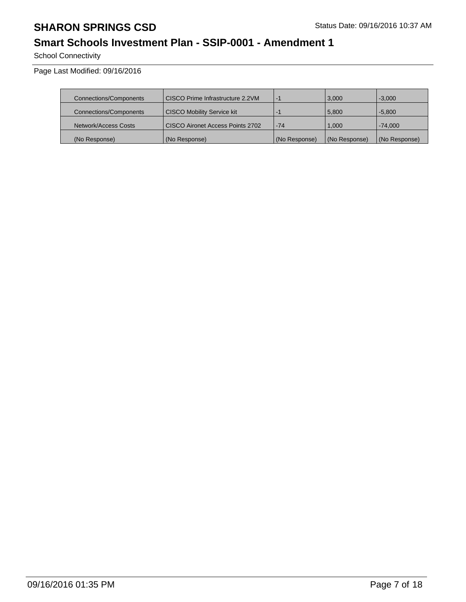### **Smart Schools Investment Plan - SSIP-0001 - Amendment 1**

School Connectivity

| Connections/Components | CISCO Prime Infrastructure 2.2VM  | $-7$          | 3,000         | $-3.000$      |
|------------------------|-----------------------------------|---------------|---------------|---------------|
| Connections/Components | <b>CISCO Mobility Service kit</b> | ÷             | 5,800         | $-5.800$      |
| Network/Access Costs   | CISCO Aironet Access Points 2702  | $-74$         | 1.000         | $-74.000$     |
| (No Response)          | (No Response)                     | (No Response) | (No Response) | (No Response) |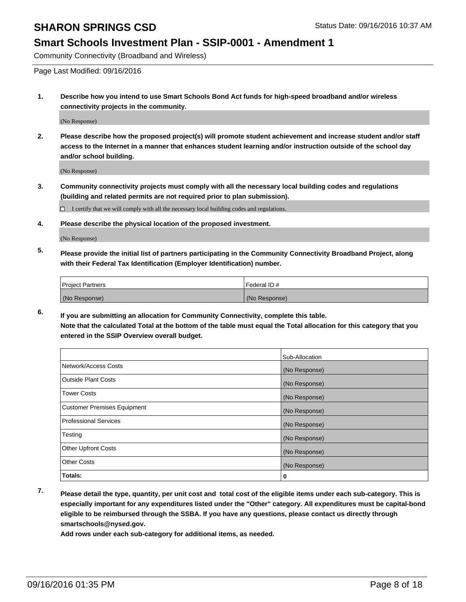#### **Smart Schools Investment Plan - SSIP-0001 - Amendment 1**

Community Connectivity (Broadband and Wireless)

Page Last Modified: 09/16/2016

**1. Describe how you intend to use Smart Schools Bond Act funds for high-speed broadband and/or wireless connectivity projects in the community.**

(No Response)

**2. Please describe how the proposed project(s) will promote student achievement and increase student and/or staff access to the Internet in a manner that enhances student learning and/or instruction outside of the school day and/or school building.**

(No Response)

**3. Community connectivity projects must comply with all the necessary local building codes and regulations (building and related permits are not required prior to plan submission).**

 $\Box$  I certify that we will comply with all the necessary local building codes and regulations.

**4. Please describe the physical location of the proposed investment.**

(No Response)

**5. Please provide the initial list of partners participating in the Community Connectivity Broadband Project, along with their Federal Tax Identification (Employer Identification) number.**

| <b>Project Partners</b> | Federal ID#   |
|-------------------------|---------------|
| (No Response)           | (No Response) |

**6. If you are submitting an allocation for Community Connectivity, complete this table. Note that the calculated Total at the bottom of the table must equal the Total allocation for this category that you entered in the SSIP Overview overall budget.**

|                                    | Sub-Allocation |
|------------------------------------|----------------|
| Network/Access Costs               | (No Response)  |
| <b>Outside Plant Costs</b>         | (No Response)  |
| Tower Costs                        | (No Response)  |
| <b>Customer Premises Equipment</b> | (No Response)  |
| <b>Professional Services</b>       | (No Response)  |
| Testing                            | (No Response)  |
| <b>Other Upfront Costs</b>         | (No Response)  |
| <b>Other Costs</b>                 | (No Response)  |
| Totals:                            | 0              |

**7. Please detail the type, quantity, per unit cost and total cost of the eligible items under each sub-category. This is especially important for any expenditures listed under the "Other" category. All expenditures must be capital-bond eligible to be reimbursed through the SSBA. If you have any questions, please contact us directly through smartschools@nysed.gov.**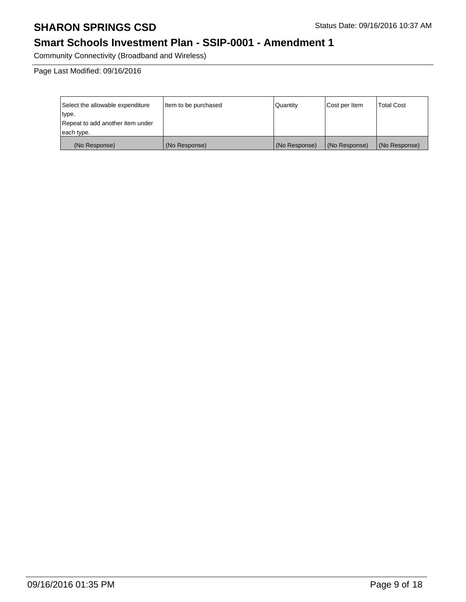### **Smart Schools Investment Plan - SSIP-0001 - Amendment 1**

Community Connectivity (Broadband and Wireless)

| Select the allowable expenditure | Item to be purchased | Quantity      | Cost per Item | Total Cost    |
|----------------------------------|----------------------|---------------|---------------|---------------|
| type.                            |                      |               |               |               |
| Repeat to add another item under |                      |               |               |               |
| each type.                       |                      |               |               |               |
| (No Response)                    | (No Response)        | (No Response) | (No Response) | (No Response) |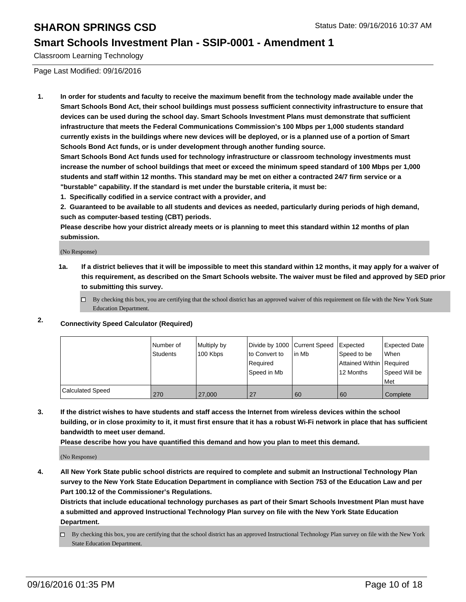#### **Smart Schools Investment Plan - SSIP-0001 - Amendment 1**

Classroom Learning Technology

Page Last Modified: 09/16/2016

**1. In order for students and faculty to receive the maximum benefit from the technology made available under the Smart Schools Bond Act, their school buildings must possess sufficient connectivity infrastructure to ensure that devices can be used during the school day. Smart Schools Investment Plans must demonstrate that sufficient infrastructure that meets the Federal Communications Commission's 100 Mbps per 1,000 students standard currently exists in the buildings where new devices will be deployed, or is a planned use of a portion of Smart Schools Bond Act funds, or is under development through another funding source.**

**Smart Schools Bond Act funds used for technology infrastructure or classroom technology investments must increase the number of school buildings that meet or exceed the minimum speed standard of 100 Mbps per 1,000 students and staff within 12 months. This standard may be met on either a contracted 24/7 firm service or a "burstable" capability. If the standard is met under the burstable criteria, it must be:**

**1. Specifically codified in a service contract with a provider, and**

**2. Guaranteed to be available to all students and devices as needed, particularly during periods of high demand, such as computer-based testing (CBT) periods.**

**Please describe how your district already meets or is planning to meet this standard within 12 months of plan submission.**

(No Response)

- **1a. If a district believes that it will be impossible to meet this standard within 12 months, it may apply for a waiver of this requirement, as described on the Smart Schools website. The waiver must be filed and approved by SED prior to submitting this survey.**
	- $\Box$  By checking this box, you are certifying that the school district has an approved waiver of this requirement on file with the New York State Education Department.

#### **2. Connectivity Speed Calculator (Required)**

|                         | l Number of<br>Students | Multiply by<br>100 Kbps | Divide by 1000 Current Speed<br>Ito Convert to<br>Required<br>Speed in Mb | lin Mb | Expected<br>Speed to be<br>Attained Within   Required<br>12 Months | <b>Expected Date</b><br><b>When</b><br>Speed Will be<br>l Met |
|-------------------------|-------------------------|-------------------------|---------------------------------------------------------------------------|--------|--------------------------------------------------------------------|---------------------------------------------------------------|
| <b>Calculated Speed</b> | 270                     | 27,000                  | 27                                                                        | 60     | 60                                                                 | Complete                                                      |

**3. If the district wishes to have students and staff access the Internet from wireless devices within the school building, or in close proximity to it, it must first ensure that it has a robust Wi-Fi network in place that has sufficient bandwidth to meet user demand.**

**Please describe how you have quantified this demand and how you plan to meet this demand.**

(No Response)

**4. All New York State public school districts are required to complete and submit an Instructional Technology Plan survey to the New York State Education Department in compliance with Section 753 of the Education Law and per Part 100.12 of the Commissioner's Regulations.**

**Districts that include educational technology purchases as part of their Smart Schools Investment Plan must have a submitted and approved Instructional Technology Plan survey on file with the New York State Education Department.**

By checking this box, you are certifying that the school district has an approved Instructional Technology Plan survey on file with the New York State Education Department.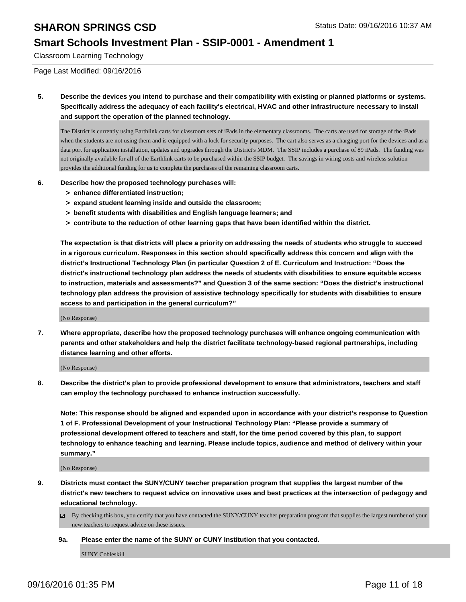#### **Smart Schools Investment Plan - SSIP-0001 - Amendment 1**

Classroom Learning Technology

Page Last Modified: 09/16/2016

**5. Describe the devices you intend to purchase and their compatibility with existing or planned platforms or systems. Specifically address the adequacy of each facility's electrical, HVAC and other infrastructure necessary to install and support the operation of the planned technology.**

The District is currently using Earthlink carts for classroom sets of iPads in the elementary classrooms. The carts are used for storage of the iPads when the students are not using them and is equipped with a lock for security purposes. The cart also serves as a charging port for the devices and as a data port for application installation, updates and upgrades through the District's MDM. The SSIP includes a purchase of 89 iPads. The funding was not originally available for all of the Earthlink carts to be purchased within the SSIP budget. The savings in wiring costs and wireless solution provides the additional funding for us to complete the purchases of the remaining classroom carts.

- **6. Describe how the proposed technology purchases will:**
	- **> enhance differentiated instruction;**
	- **> expand student learning inside and outside the classroom;**
	- **> benefit students with disabilities and English language learners; and**
	- **> contribute to the reduction of other learning gaps that have been identified within the district.**

**The expectation is that districts will place a priority on addressing the needs of students who struggle to succeed in a rigorous curriculum. Responses in this section should specifically address this concern and align with the district's Instructional Technology Plan (in particular Question 2 of E. Curriculum and Instruction: "Does the district's instructional technology plan address the needs of students with disabilities to ensure equitable access to instruction, materials and assessments?" and Question 3 of the same section: "Does the district's instructional technology plan address the provision of assistive technology specifically for students with disabilities to ensure access to and participation in the general curriculum?"**

(No Response)

**7. Where appropriate, describe how the proposed technology purchases will enhance ongoing communication with parents and other stakeholders and help the district facilitate technology-based regional partnerships, including distance learning and other efforts.**

(No Response)

**8. Describe the district's plan to provide professional development to ensure that administrators, teachers and staff can employ the technology purchased to enhance instruction successfully.**

**Note: This response should be aligned and expanded upon in accordance with your district's response to Question 1 of F. Professional Development of your Instructional Technology Plan: "Please provide a summary of professional development offered to teachers and staff, for the time period covered by this plan, to support technology to enhance teaching and learning. Please include topics, audience and method of delivery within your summary."**

(No Response)

- **9. Districts must contact the SUNY/CUNY teacher preparation program that supplies the largest number of the district's new teachers to request advice on innovative uses and best practices at the intersection of pedagogy and educational technology.**
	- $\boxtimes$  By checking this box, you certify that you have contacted the SUNY/CUNY teacher preparation program that supplies the largest number of your new teachers to request advice on these issues.
	- **9a. Please enter the name of the SUNY or CUNY Institution that you contacted.**

SUNY Cobleskill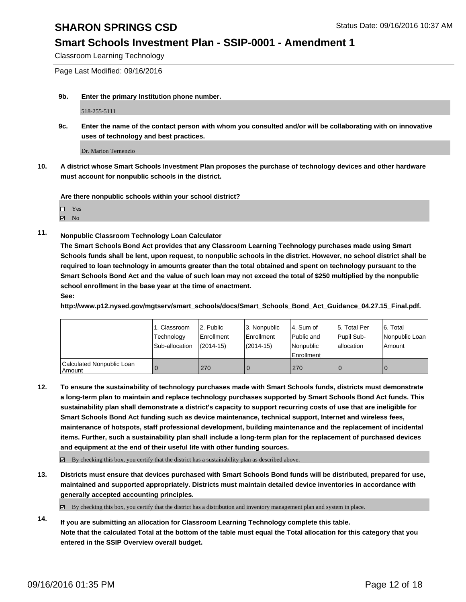#### **Smart Schools Investment Plan - SSIP-0001 - Amendment 1**

Classroom Learning Technology

Page Last Modified: 09/16/2016

**9b. Enter the primary Institution phone number.**

518-255-5111

**9c. Enter the name of the contact person with whom you consulted and/or will be collaborating with on innovative uses of technology and best practices.**

Dr. Marion Ternenzio

**10. A district whose Smart Schools Investment Plan proposes the purchase of technology devices and other hardware must account for nonpublic schools in the district.**

**Are there nonpublic schools within your school district?**

 $\Box$ Yes

 $\boxtimes$  No

**11. Nonpublic Classroom Technology Loan Calculator**

**The Smart Schools Bond Act provides that any Classroom Learning Technology purchases made using Smart Schools funds shall be lent, upon request, to nonpublic schools in the district. However, no school district shall be required to loan technology in amounts greater than the total obtained and spent on technology pursuant to the Smart Schools Bond Act and the value of such loan may not exceed the total of \$250 multiplied by the nonpublic school enrollment in the base year at the time of enactment. See:**

**http://www.p12.nysed.gov/mgtserv/smart\_schools/docs/Smart\_Schools\_Bond\_Act\_Guidance\_04.27.15\_Final.pdf.**

|                                     | 1. Classroom<br>Technology<br>Sub-allocation | 2. Public<br>Enrollment<br>$(2014-15)$ | 3. Nonpublic<br>Enrollment<br>$(2014 - 15)$ | 4. Sum of<br><b>Public and</b><br>Nonpublic<br>Enrollment | 15. Total Per<br>Pupil Sub-<br>lallocation | 6. Total<br>Nonpublic Loan<br>Amount |
|-------------------------------------|----------------------------------------------|----------------------------------------|---------------------------------------------|-----------------------------------------------------------|--------------------------------------------|--------------------------------------|
| Calculated Nonpublic Loan<br>Amount |                                              | 270                                    | 0                                           | 270                                                       |                                            | $\mathbf 0$                          |

**12. To ensure the sustainability of technology purchases made with Smart Schools funds, districts must demonstrate a long-term plan to maintain and replace technology purchases supported by Smart Schools Bond Act funds. This sustainability plan shall demonstrate a district's capacity to support recurring costs of use that are ineligible for Smart Schools Bond Act funding such as device maintenance, technical support, Internet and wireless fees, maintenance of hotspots, staff professional development, building maintenance and the replacement of incidental items. Further, such a sustainability plan shall include a long-term plan for the replacement of purchased devices and equipment at the end of their useful life with other funding sources.**

 $\boxtimes$  By checking this box, you certify that the district has a sustainability plan as described above.

**13. Districts must ensure that devices purchased with Smart Schools Bond funds will be distributed, prepared for use, maintained and supported appropriately. Districts must maintain detailed device inventories in accordance with generally accepted accounting principles.**

 $\boxtimes$  By checking this box, you certify that the district has a distribution and inventory management plan and system in place.

**14. If you are submitting an allocation for Classroom Learning Technology complete this table. Note that the calculated Total at the bottom of the table must equal the Total allocation for this category that you entered in the SSIP Overview overall budget.**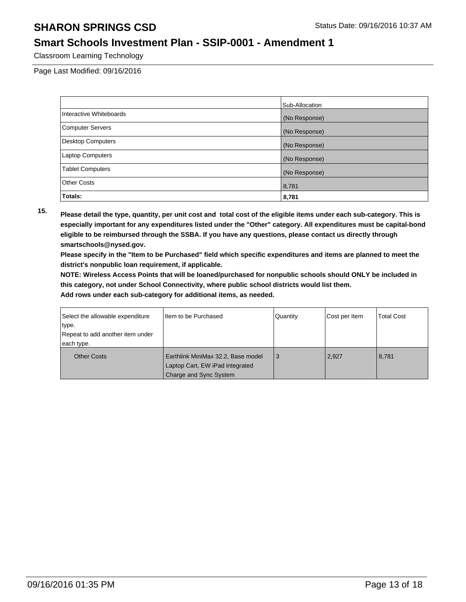#### **Smart Schools Investment Plan - SSIP-0001 - Amendment 1**

Classroom Learning Technology

Page Last Modified: 09/16/2016

|                          | Sub-Allocation |
|--------------------------|----------------|
| Interactive Whiteboards  | (No Response)  |
| <b>Computer Servers</b>  | (No Response)  |
| <b>Desktop Computers</b> | (No Response)  |
| <b>Laptop Computers</b>  | (No Response)  |
| <b>Tablet Computers</b>  | (No Response)  |
| <b>Other Costs</b>       | 8,781          |
| Totals:                  | 8,781          |

**15. Please detail the type, quantity, per unit cost and total cost of the eligible items under each sub-category. This is especially important for any expenditures listed under the "Other" category. All expenditures must be capital-bond eligible to be reimbursed through the SSBA. If you have any questions, please contact us directly through smartschools@nysed.gov.**

**Please specify in the "Item to be Purchased" field which specific expenditures and items are planned to meet the district's nonpublic loan requirement, if applicable.**

**NOTE: Wireless Access Points that will be loaned/purchased for nonpublic schools should ONLY be included in this category, not under School Connectivity, where public school districts would list them.**

| Select the allowable expenditure | Item to be Purchased                                                  | Quantity | Cost per Item | <b>Total Cost</b> |
|----------------------------------|-----------------------------------------------------------------------|----------|---------------|-------------------|
| type.                            |                                                                       |          |               |                   |
| Repeat to add another item under |                                                                       |          |               |                   |
| each type.                       |                                                                       |          |               |                   |
| <b>Other Costs</b>               | Earthlink MiniMax 32.2, Base model<br>Laptop Cart, EW iPad integrated | -3       | 2,927         | 8,781             |
|                                  | Charge and Sync System                                                |          |               |                   |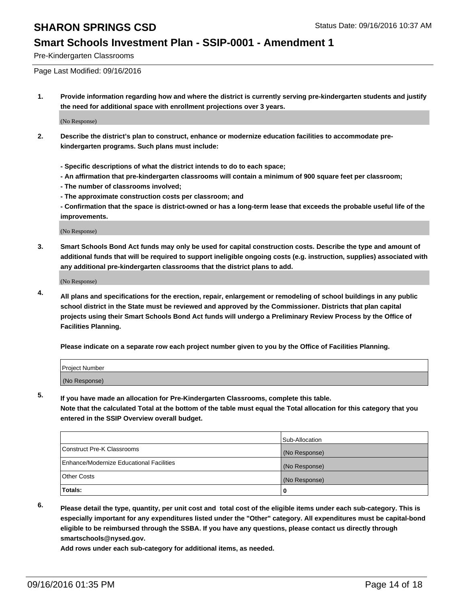#### **Smart Schools Investment Plan - SSIP-0001 - Amendment 1**

Pre-Kindergarten Classrooms

Page Last Modified: 09/16/2016

**1. Provide information regarding how and where the district is currently serving pre-kindergarten students and justify the need for additional space with enrollment projections over 3 years.**

(No Response)

- **2. Describe the district's plan to construct, enhance or modernize education facilities to accommodate prekindergarten programs. Such plans must include:**
	- **Specific descriptions of what the district intends to do to each space;**
	- **An affirmation that pre-kindergarten classrooms will contain a minimum of 900 square feet per classroom;**
	- **The number of classrooms involved;**
	- **The approximate construction costs per classroom; and**
	- **Confirmation that the space is district-owned or has a long-term lease that exceeds the probable useful life of the improvements.**

(No Response)

**3. Smart Schools Bond Act funds may only be used for capital construction costs. Describe the type and amount of additional funds that will be required to support ineligible ongoing costs (e.g. instruction, supplies) associated with any additional pre-kindergarten classrooms that the district plans to add.**

(No Response)

**4. All plans and specifications for the erection, repair, enlargement or remodeling of school buildings in any public school district in the State must be reviewed and approved by the Commissioner. Districts that plan capital projects using their Smart Schools Bond Act funds will undergo a Preliminary Review Process by the Office of Facilities Planning.**

**Please indicate on a separate row each project number given to you by the Office of Facilities Planning.**

| Project Number |  |
|----------------|--|
| (No Response)  |  |

**5. If you have made an allocation for Pre-Kindergarten Classrooms, complete this table.**

**Note that the calculated Total at the bottom of the table must equal the Total allocation for this category that you entered in the SSIP Overview overall budget.**

|                                          | Sub-Allocation |
|------------------------------------------|----------------|
| Construct Pre-K Classrooms               | (No Response)  |
| Enhance/Modernize Educational Facilities | (No Response)  |
| Other Costs                              | (No Response)  |
| Totals:                                  |                |

**6. Please detail the type, quantity, per unit cost and total cost of the eligible items under each sub-category. This is especially important for any expenditures listed under the "Other" category. All expenditures must be capital-bond eligible to be reimbursed through the SSBA. If you have any questions, please contact us directly through smartschools@nysed.gov.**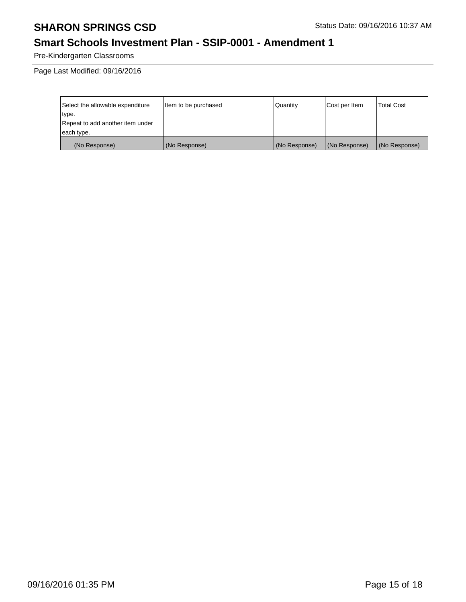### **Smart Schools Investment Plan - SSIP-0001 - Amendment 1**

Pre-Kindergarten Classrooms

| Select the allowable expenditure | Item to be purchased | Quantity      | Cost per Item | Total Cost    |
|----------------------------------|----------------------|---------------|---------------|---------------|
| type.                            |                      |               |               |               |
| Repeat to add another item under |                      |               |               |               |
| each type.                       |                      |               |               |               |
| (No Response)                    | (No Response)        | (No Response) | (No Response) | (No Response) |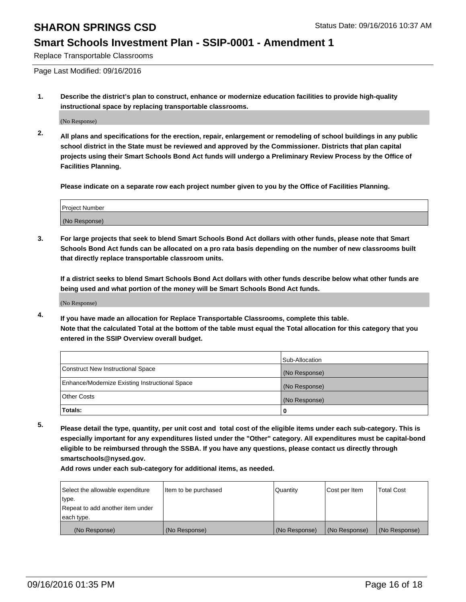#### **Smart Schools Investment Plan - SSIP-0001 - Amendment 1**

Replace Transportable Classrooms

Page Last Modified: 09/16/2016

**1. Describe the district's plan to construct, enhance or modernize education facilities to provide high-quality instructional space by replacing transportable classrooms.**

(No Response)

**2. All plans and specifications for the erection, repair, enlargement or remodeling of school buildings in any public school district in the State must be reviewed and approved by the Commissioner. Districts that plan capital projects using their Smart Schools Bond Act funds will undergo a Preliminary Review Process by the Office of Facilities Planning.**

**Please indicate on a separate row each project number given to you by the Office of Facilities Planning.**

| Project Number |  |
|----------------|--|
| (No Response)  |  |

**3. For large projects that seek to blend Smart Schools Bond Act dollars with other funds, please note that Smart Schools Bond Act funds can be allocated on a pro rata basis depending on the number of new classrooms built that directly replace transportable classroom units.**

**If a district seeks to blend Smart Schools Bond Act dollars with other funds describe below what other funds are being used and what portion of the money will be Smart Schools Bond Act funds.**

(No Response)

**4. If you have made an allocation for Replace Transportable Classrooms, complete this table. Note that the calculated Total at the bottom of the table must equal the Total allocation for this category that you entered in the SSIP Overview overall budget.**

|                                                | Sub-Allocation |
|------------------------------------------------|----------------|
| Construct New Instructional Space              | (No Response)  |
| Enhance/Modernize Existing Instructional Space | (No Response)  |
| Other Costs                                    | (No Response)  |
| Totals:                                        | 0              |

**5. Please detail the type, quantity, per unit cost and total cost of the eligible items under each sub-category. This is especially important for any expenditures listed under the "Other" category. All expenditures must be capital-bond eligible to be reimbursed through the SSBA. If you have any questions, please contact us directly through smartschools@nysed.gov.**

| Select the allowable expenditure | Item to be purchased | Quantity      | Cost per Item | Total Cost    |
|----------------------------------|----------------------|---------------|---------------|---------------|
| type.                            |                      |               |               |               |
| Repeat to add another item under |                      |               |               |               |
| each type.                       |                      |               |               |               |
| (No Response)                    | (No Response)        | (No Response) | (No Response) | (No Response) |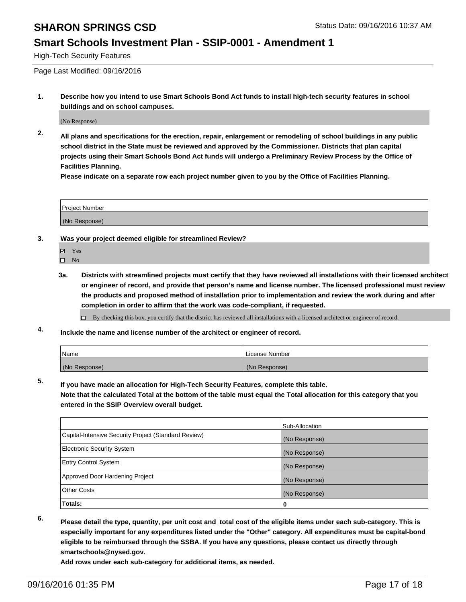#### **Smart Schools Investment Plan - SSIP-0001 - Amendment 1**

High-Tech Security Features

Page Last Modified: 09/16/2016

**1. Describe how you intend to use Smart Schools Bond Act funds to install high-tech security features in school buildings and on school campuses.**

(No Response)

**2. All plans and specifications for the erection, repair, enlargement or remodeling of school buildings in any public school district in the State must be reviewed and approved by the Commissioner. Districts that plan capital projects using their Smart Schools Bond Act funds will undergo a Preliminary Review Process by the Office of Facilities Planning.** 

**Please indicate on a separate row each project number given to you by the Office of Facilities Planning.**

| Project Number |  |
|----------------|--|
| (No Response)  |  |

- **3. Was your project deemed eligible for streamlined Review?**
	- Yes
	- $\hfill \square$  No
	- **3a. Districts with streamlined projects must certify that they have reviewed all installations with their licensed architect or engineer of record, and provide that person's name and license number. The licensed professional must review the products and proposed method of installation prior to implementation and review the work during and after completion in order to affirm that the work was code-compliant, if requested.**

By checking this box, you certify that the district has reviewed all installations with a licensed architect or engineer of record.

**4. Include the name and license number of the architect or engineer of record.**

| <b>Name</b>   | License Number |
|---------------|----------------|
| (No Response) | (No Response)  |

**5. If you have made an allocation for High-Tech Security Features, complete this table.**

**Note that the calculated Total at the bottom of the table must equal the Total allocation for this category that you entered in the SSIP Overview overall budget.**

|                                                      | Sub-Allocation |
|------------------------------------------------------|----------------|
| Capital-Intensive Security Project (Standard Review) | (No Response)  |
| <b>Electronic Security System</b>                    | (No Response)  |
| <b>Entry Control System</b>                          | (No Response)  |
| Approved Door Hardening Project                      | (No Response)  |
| <b>Other Costs</b>                                   | (No Response)  |
| Totals:                                              | 0              |

**6. Please detail the type, quantity, per unit cost and total cost of the eligible items under each sub-category. This is especially important for any expenditures listed under the "Other" category. All expenditures must be capital-bond eligible to be reimbursed through the SSBA. If you have any questions, please contact us directly through smartschools@nysed.gov.**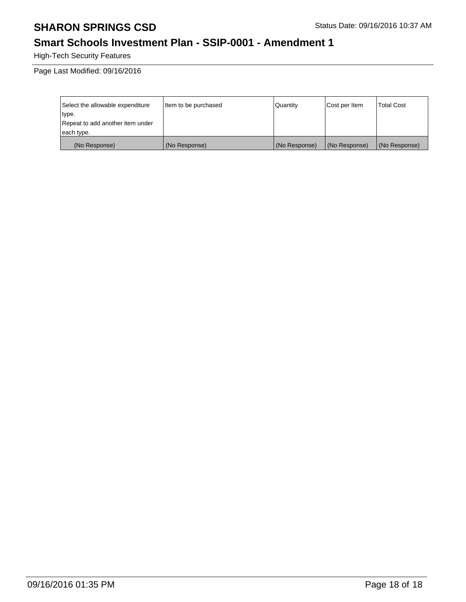### **Smart Schools Investment Plan - SSIP-0001 - Amendment 1**

High-Tech Security Features

| Select the allowable expenditure | Item to be purchased | Quantity      | Cost per Item | <b>Total Cost</b> |
|----------------------------------|----------------------|---------------|---------------|-------------------|
| type.                            |                      |               |               |                   |
| Repeat to add another item under |                      |               |               |                   |
| each type.                       |                      |               |               |                   |
| (No Response)                    | (No Response)        | (No Response) | (No Response) | (No Response)     |